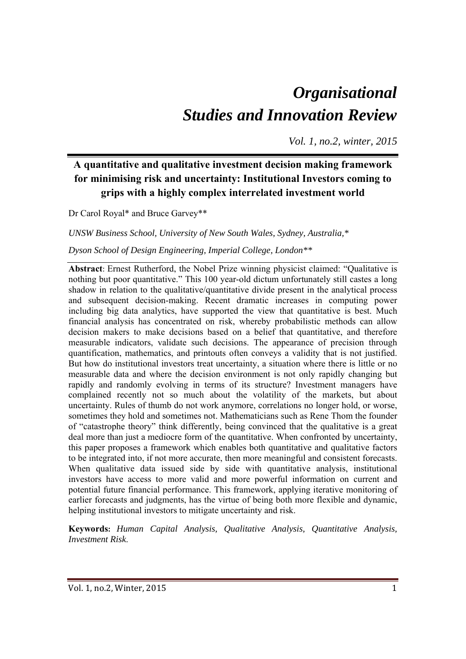# *Organisational Studies and Innovation Review*

*Vol. 1, no.2, winter, 2015*

## **A quantitative and qualitative investment decision making framework for minimising risk and uncertainty: Institutional Investors coming to grips with a highly complex interrelated investment world**

Dr Carol Royal\* and Bruce Garvey\*\*

*UNSW Business School, University of New South Wales, Sydney, Australia,\** 

*Dyson School of Design Engineering, Imperial College, London\*\** 

**Abstract**: Ernest Rutherford, the Nobel Prize winning physicist claimed: "Qualitative is nothing but poor quantitative." This 100 year-old dictum unfortunately still castes a long shadow in relation to the qualitative/quantitative divide present in the analytical process and subsequent decision-making. Recent dramatic increases in computing power including big data analytics, have supported the view that quantitative is best. Much financial analysis has concentrated on risk, whereby probabilistic methods can allow decision makers to make decisions based on a belief that quantitative, and therefore measurable indicators, validate such decisions. The appearance of precision through quantification, mathematics, and printouts often conveys a validity that is not justified. But how do institutional investors treat uncertainty, a situation where there is little or no measurable data and where the decision environment is not only rapidly changing but rapidly and randomly evolving in terms of its structure? Investment managers have complained recently not so much about the volatility of the markets, but about uncertainty. Rules of thumb do not work anymore, correlations no longer hold, or worse, sometimes they hold and sometimes not. Mathematicians such as Rene Thom the founder of "catastrophe theory" think differently, being convinced that the qualitative is a great deal more than just a mediocre form of the quantitative. When confronted by uncertainty, this paper proposes a framework which enables both quantitative and qualitative factors to be integrated into, if not more accurate, then more meaningful and consistent forecasts. When qualitative data issued side by side with quantitative analysis, institutional investors have access to more valid and more powerful information on current and potential future financial performance. This framework, applying iterative monitoring of earlier forecasts and judgments, has the virtue of being both more flexible and dynamic, helping institutional investors to mitigate uncertainty and risk.

**Keywords:** *Human Capital Analysis, Qualitative Analysis, Quantitative Analysis, Investment Risk*.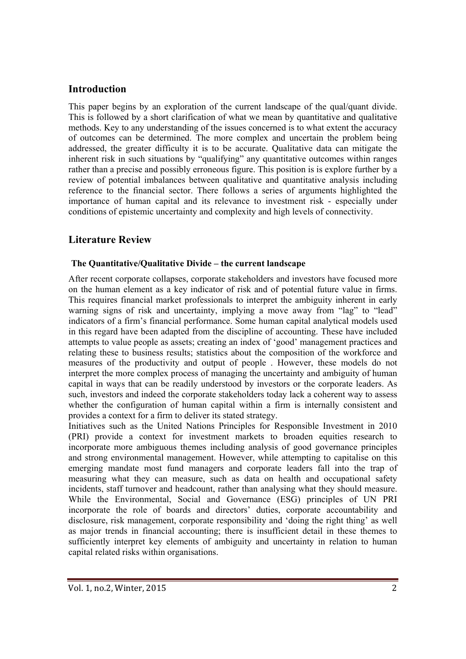#### **Introduction**

This paper begins by an exploration of the current landscape of the qual/quant divide. This is followed by a short clarification of what we mean by quantitative and qualitative methods. Key to any understanding of the issues concerned is to what extent the accuracy of outcomes can be determined. The more complex and uncertain the problem being addressed, the greater difficulty it is to be accurate. Qualitative data can mitigate the inherent risk in such situations by "qualifying" any quantitative outcomes within ranges rather than a precise and possibly erroneous figure. This position is is explore further by a review of potential imbalances between qualitative and quantitative analysis including reference to the financial sector. There follows a series of arguments highlighted the importance of human capital and its relevance to investment risk - especially under conditions of epistemic uncertainty and complexity and high levels of connectivity.

#### **Literature Review**

#### **The Quantitative/Qualitative Divide – the current landscape**

After recent corporate collapses, corporate stakeholders and investors have focused more on the human element as a key indicator of risk and of potential future value in firms. This requires financial market professionals to interpret the ambiguity inherent in early warning signs of risk and uncertainty, implying a move away from "lag" to "lead" indicators of a firm's financial performance. Some human capital analytical models used in this regard have been adapted from the discipline of accounting. These have included attempts to value people as assets; creating an index of 'good' management practices and relating these to business results; statistics about the composition of the workforce and measures of the productivity and output of people . However, these models do not interpret the more complex process of managing the uncertainty and ambiguity of human capital in ways that can be readily understood by investors or the corporate leaders. As such, investors and indeed the corporate stakeholders today lack a coherent way to assess whether the configuration of human capital within a firm is internally consistent and provides a context for a firm to deliver its stated strategy.

Initiatives such as the United Nations Principles for Responsible Investment in 2010 (PRI) provide a context for investment markets to broaden equities research to incorporate more ambiguous themes including analysis of good governance principles and strong environmental management. However, while attempting to capitalise on this emerging mandate most fund managers and corporate leaders fall into the trap of measuring what they can measure, such as data on health and occupational safety incidents, staff turnover and headcount, rather than analysing what they should measure. While the Environmental, Social and Governance (ESG) principles of UN PRI incorporate the role of boards and directors' duties, corporate accountability and disclosure, risk management, corporate responsibility and 'doing the right thing' as well as major trends in financial accounting; there is insufficient detail in these themes to sufficiently interpret key elements of ambiguity and uncertainty in relation to human capital related risks within organisations.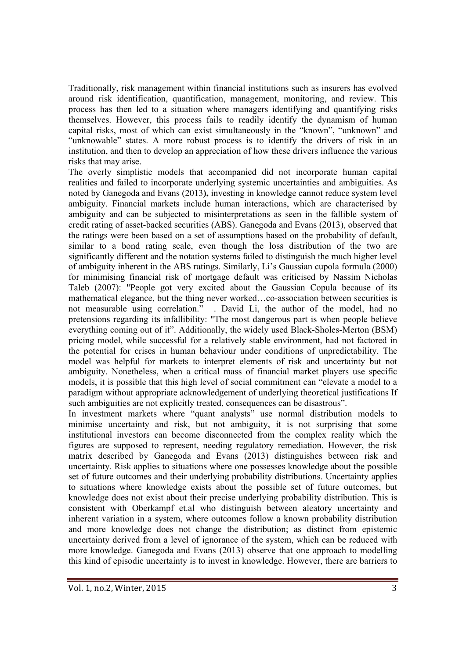Traditionally, risk management within financial institutions such as insurers has evolved around risk identification, quantification, management, monitoring, and review. This process has then led to a situation where managers identifying and quantifying risks themselves. However, this process fails to readily identify the dynamism of human capital risks, most of which can exist simultaneously in the "known", "unknown" and "unknowable" states. A more robust process is to identify the drivers of risk in an institution, and then to develop an appreciation of how these drivers influence the various risks that may arise.

The overly simplistic models that accompanied did not incorporate human capital realities and failed to incorporate underlying systemic uncertainties and ambiguities. As noted by Ganegoda and Evans (2013**),** investing in knowledge cannot reduce system level ambiguity. Financial markets include human interactions, which are characterised by ambiguity and can be subjected to misinterpretations as seen in the fallible system of credit rating of asset-backed securities (ABS). Ganegoda and Evans (2013), observed that the ratings were been based on a set of assumptions based on the probability of default, similar to a bond rating scale, even though the loss distribution of the two are significantly different and the notation systems failed to distinguish the much higher level of ambiguity inherent in the ABS ratings. Similarly, Li's Gaussian cupola formula (2000) for minimising financial risk of mortgage default was criticised by Nassim Nicholas Taleb (2007): "People got very excited about the Gaussian Copula because of its mathematical elegance, but the thing never worked…co-association between securities is not measurable using correlation." . David Li, the author of the model, had no pretensions regarding its infallibility: "The most dangerous part is when people believe everything coming out of it". Additionally, the widely used Black-Sholes-Merton (BSM) pricing model, while successful for a relatively stable environment, had not factored in the potential for crises in human behaviour under conditions of unpredictability. The model was helpful for markets to interpret elements of risk and uncertainty but not ambiguity. Nonetheless, when a critical mass of financial market players use specific models, it is possible that this high level of social commitment can "elevate a model to a paradigm without appropriate acknowledgement of underlying theoretical justifications If such ambiguities are not explicitly treated, consequences can be disastrous".

In investment markets where "quant analysts" use normal distribution models to minimise uncertainty and risk, but not ambiguity, it is not surprising that some institutional investors can become disconnected from the complex reality which the figures are supposed to represent, needing regulatory remediation. However, the risk matrix described by Ganegoda and Evans (2013) distinguishes between risk and uncertainty. Risk applies to situations where one possesses knowledge about the possible set of future outcomes and their underlying probability distributions. Uncertainty applies to situations where knowledge exists about the possible set of future outcomes, but knowledge does not exist about their precise underlying probability distribution. This is consistent with Oberkampf et.al who distinguish between aleatory uncertainty and inherent variation in a system, where outcomes follow a known probability distribution and more knowledge does not change the distribution; as distinct from epistemic uncertainty derived from a level of ignorance of the system, which can be reduced with more knowledge. Ganegoda and Evans (2013) observe that one approach to modelling this kind of episodic uncertainty is to invest in knowledge. However, there are barriers to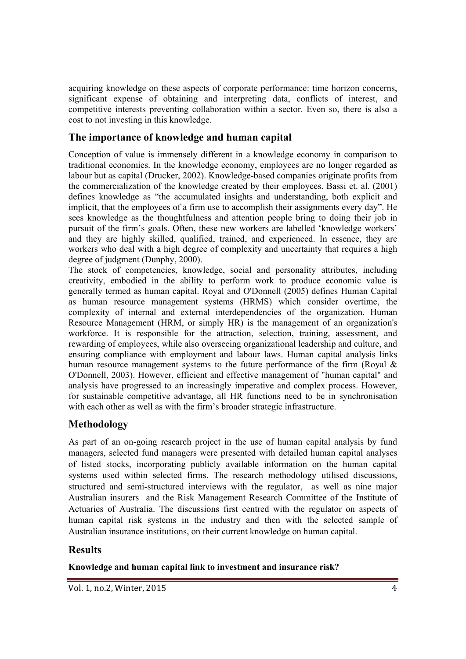acquiring knowledge on these aspects of corporate performance: time horizon concerns, significant expense of obtaining and interpreting data, conflicts of interest, and competitive interests preventing collaboration within a sector. Even so, there is also a cost to not investing in this knowledge.

#### **The importance of knowledge and human capital**

Conception of value is immensely different in a knowledge economy in comparison to traditional economies. In the knowledge economy, employees are no longer regarded as labour but as capital (Drucker, 2002). Knowledge-based companies originate profits from the commercialization of the knowledge created by their employees. Bassi et. al. (2001) defines knowledge as "the accumulated insights and understanding, both explicit and implicit, that the employees of a firm use to accomplish their assignments every day". He sees knowledge as the thoughtfulness and attention people bring to doing their job in pursuit of the firm's goals. Often, these new workers are labelled 'knowledge workers' and they are highly skilled, qualified, trained, and experienced. In essence, they are workers who deal with a high degree of complexity and uncertainty that requires a high degree of judgment (Dunphy, 2000).

The stock of competencies, knowledge, social and personality attributes, including creativity, embodied in the ability to perform work to produce economic value is generally termed as human capital. Royal and O'Donnell (2005) defines Human Capital as human resource management systems (HRMS) which consider overtime, the complexity of internal and external interdependencies of the organization. Human Resource Management (HRM, or simply HR) is the management of an organization's workforce. It is responsible for the attraction, selection, training, assessment, and rewarding of employees, while also overseeing organizational leadership and culture, and ensuring compliance with employment and labour laws. Human capital analysis links human resource management systems to the future performance of the firm (Royal & O'Donnell, 2003). However, efficient and effective management of "human capital" and analysis have progressed to an increasingly imperative and complex process. However, for sustainable competitive advantage, all HR functions need to be in synchronisation with each other as well as with the firm's broader strategic infrastructure.

#### **Methodology**

As part of an on-going research project in the use of human capital analysis by fund managers, selected fund managers were presented with detailed human capital analyses of listed stocks, incorporating publicly available information on the human capital systems used within selected firms. The research methodology utilised discussions, structured and semi-structured interviews with the regulator, as well as nine major Australian insurers and the Risk Management Research Committee of the Institute of Actuaries of Australia. The discussions first centred with the regulator on aspects of human capital risk systems in the industry and then with the selected sample of Australian insurance institutions, on their current knowledge on human capital.

#### **Results**

**Knowledge and human capital link to investment and insurance risk?**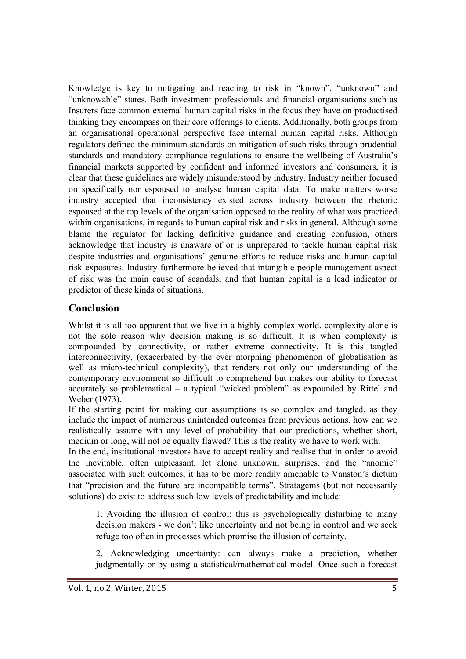Knowledge is key to mitigating and reacting to risk in "known", "unknown" and "unknowable" states. Both investment professionals and financial organisations such as Insurers face common external human capital risks in the focus they have on productised thinking they encompass on their core offerings to clients. Additionally, both groups from an organisational operational perspective face internal human capital risks. Although regulators defined the minimum standards on mitigation of such risks through prudential standards and mandatory compliance regulations to ensure the wellbeing of Australia's financial markets supported by confident and informed investors and consumers, it is clear that these guidelines are widely misunderstood by industry. Industry neither focused on specifically nor espoused to analyse human capital data. To make matters worse industry accepted that inconsistency existed across industry between the rhetoric espoused at the top levels of the organisation opposed to the reality of what was practiced within organisations, in regards to human capital risk and risks in general. Although some blame the regulator for lacking definitive guidance and creating confusion, others acknowledge that industry is unaware of or is unprepared to tackle human capital risk despite industries and organisations' genuine efforts to reduce risks and human capital risk exposures. Industry furthermore believed that intangible people management aspect of risk was the main cause of scandals, and that human capital is a lead indicator or predictor of these kinds of situations.

#### **Conclusion**

Whilst it is all too apparent that we live in a highly complex world, complexity alone is not the sole reason why decision making is so difficult. It is when complexity is compounded by connectivity, or rather extreme connectivity. It is this tangled interconnectivity, (exacerbated by the ever morphing phenomenon of globalisation as well as micro-technical complexity), that renders not only our understanding of the contemporary environment so difficult to comprehend but makes our ability to forecast accurately so problematical – a typical "wicked problem" as expounded by Rittel and Weber (1973).

If the starting point for making our assumptions is so complex and tangled, as they include the impact of numerous unintended outcomes from previous actions, how can we realistically assume with any level of probability that our predictions, whether short, medium or long, will not be equally flawed? This is the reality we have to work with.

In the end, institutional investors have to accept reality and realise that in order to avoid the inevitable, often unpleasant, let alone unknown, surprises, and the "anomie" associated with such outcomes, it has to be more readily amenable to Vanston's dictum that "precision and the future are incompatible terms". Stratagems (but not necessarily solutions) do exist to address such low levels of predictability and include:

1. Avoiding the illusion of control: this is psychologically disturbing to many decision makers - we don't like uncertainty and not being in control and we seek refuge too often in processes which promise the illusion of certainty.

2. Acknowledging uncertainty: can always make a prediction, whether judgmentally or by using a statistical/mathematical model. Once such a forecast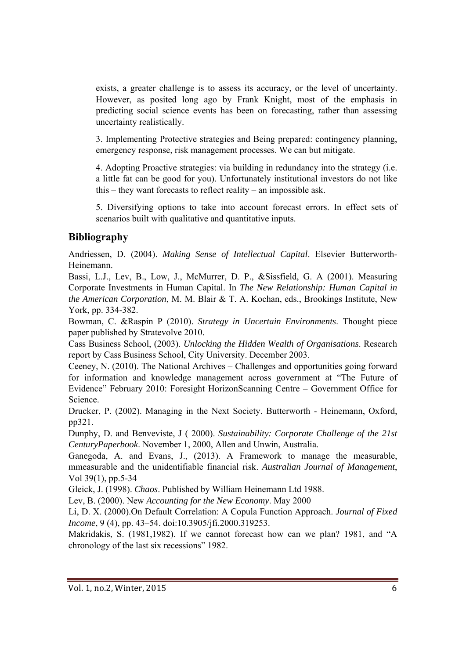exists, a greater challenge is to assess its accuracy, or the level of uncertainty. However, as posited long ago by Frank Knight, most of the emphasis in predicting social science events has been on forecasting, rather than assessing uncertainty realistically.

3. Implementing Protective strategies and Being prepared: contingency planning, emergency response, risk management processes. We can but mitigate.

4. Adopting Proactive strategies: via building in redundancy into the strategy (i.e. a little fat can be good for you). Unfortunately institutional investors do not like this – they want forecasts to reflect reality – an impossible ask.

5. Diversifying options to take into account forecast errors. In effect sets of scenarios built with qualitative and quantitative inputs.

### **Bibliography**

Andriessen, D. (2004). *Making Sense of Intellectual Capital*. Elsevier Butterworth-Heinemann.

Bassi, L.J., Lev, B., Low, J., McMurrer, D. P., &Sissfield, G. A (2001). Measuring Corporate Investments in Human Capital. In *The New Relationship: Human Capital in the American Corporation*, M. M. Blair & T. A. Kochan, eds., Brookings Institute, New York, pp. 334-382.

Bowman, C. &Raspin P (2010). *Strategy in Uncertain Environments*. Thought piece paper published by Stratevolve 2010.

Cass Business School, (2003). *Unlocking the Hidden Wealth of Organisations*. Research report by Cass Business School, City University. December 2003.

Ceeney, N. (2010). The National Archives – Challenges and opportunities going forward for information and knowledge management across government at "The Future of Evidence" February 2010: Foresight HorizonScanning Centre – Government Office for Science.

Drucker, P. (2002). Managing in the Next Society. Butterworth - Heinemann, Oxford, pp321.

Dunphy, D. and Benveviste, J ( 2000). *Sustainability: Corporate Challenge of the 21st CenturyPaperbook*. November 1, 2000, Allen and Unwin, Australia.

Ganegoda, A. and Evans, J., (2013). A Framework to manage the measurable, mmeasurable and the unidentifiable financial risk. *Australian Journal of Management*, Vol 39(1), pp.5-34

Gleick, J. (1998). *Chaos*. Published by William Heinemann Ltd 1988.

Lev, B. (2000). New *Accounting for the New Economy*. May 2000

Li, D. X. (2000).On Default Correlation: A Copula Function Approach. *Journal of Fixed Income*, 9 (4), pp. 43–54. doi:10.3905/jfi.2000.319253.

Makridakis, S. (1981,1982). If we cannot forecast how can we plan? 1981, and "A chronology of the last six recessions" 1982.